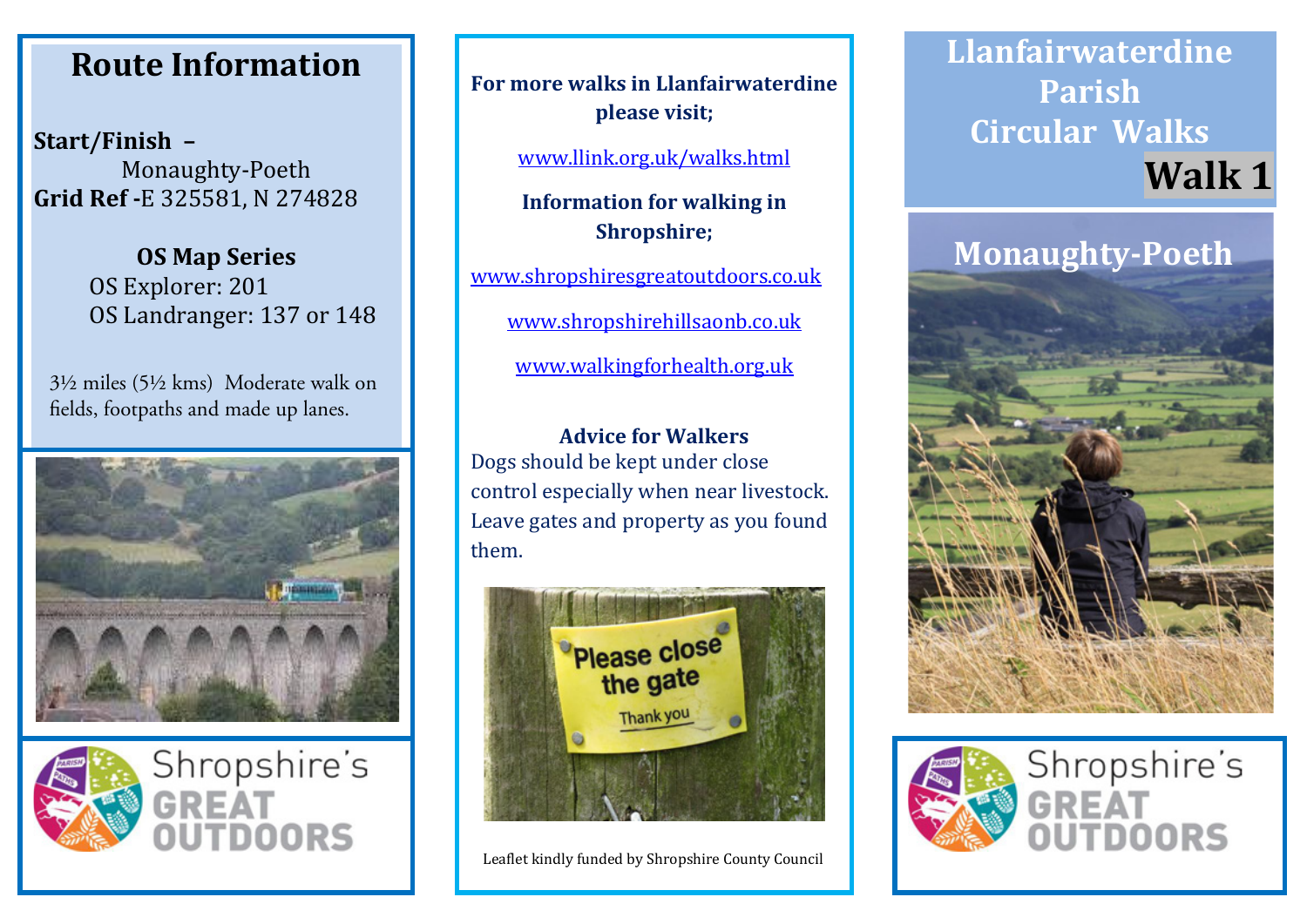## **Route Information Route Information Route Information**

**Start/Finish – Start/Finish – Start/Finish –** Monaughty-Poeth Monaughty-Poeth Monaughty-Poeth **Grid Ref -**E 325581, N 274828 **Grid Ref -**E 325581, N 274828 **Grid Ref -**E 325581, N 274828

> **OS Map Series OS Map Series OS Map Series** OS Explorer: 201 OS Explorer: 201 OS Explorer: 201 OS Landranger: 137 or 148 OS Landranger: 137 or 148 OS Landranger: 137 or 148

3½ miles (5½ kms) Moderate walk on fields, footpaths and made up lanes.





**For more walks in Llanfairwaterdine For more walks in Llanfairwaterdine For more walks in Llanfairwaterdine please visit; please visit; please visit;**

www.llink.org.uk/walks.html www.llink.org.uk/walks.html www.llink.org.uk/walks.html

**Information for walking in Information for walking in Information for walking in Shropshire; Shropshire; Shropshire;**

www.shropshiresgreatoutdoors.co.uk www.shropshiresgreatoutdoors.co.uk www.shropshiresgreatoutdoors.co.uk

www.shropshirehillsaonb.co.uk www.shropshirehillsaonb.co.uk www.shropshirehillsaonb.co.uk

www.walkingforhealth.org.uk www.walkingforhealth.org.uk www.walkingforhealth.org.uk

**Advice for Walkers Advice for Walkers Advice for Walkers** Dogs should be kept under close Dogs should be kept under close Dogs should be kept under close control especially when near livestock. control especially when near livestock. control especially when near livestock. Leave gates and property as you found Leave gates and property as you found Leave gates and property as you found them. them. them.



Leaflet kindly funded by Shropshire County Council Leaflet kindly funded by Shropshire County Council Leaflet kindly funded by Shropshire County Council

## **Llanfairwaterdine Llanfairwaterdine Llanfairwaterdine Parish Parish Parish Circular Walks Circular Walks Circular Walks Walk 1 Walk 1 Walk 1**

## **Monaughty-Poeth Monaughty-Poeth Monaughty-Poeth**